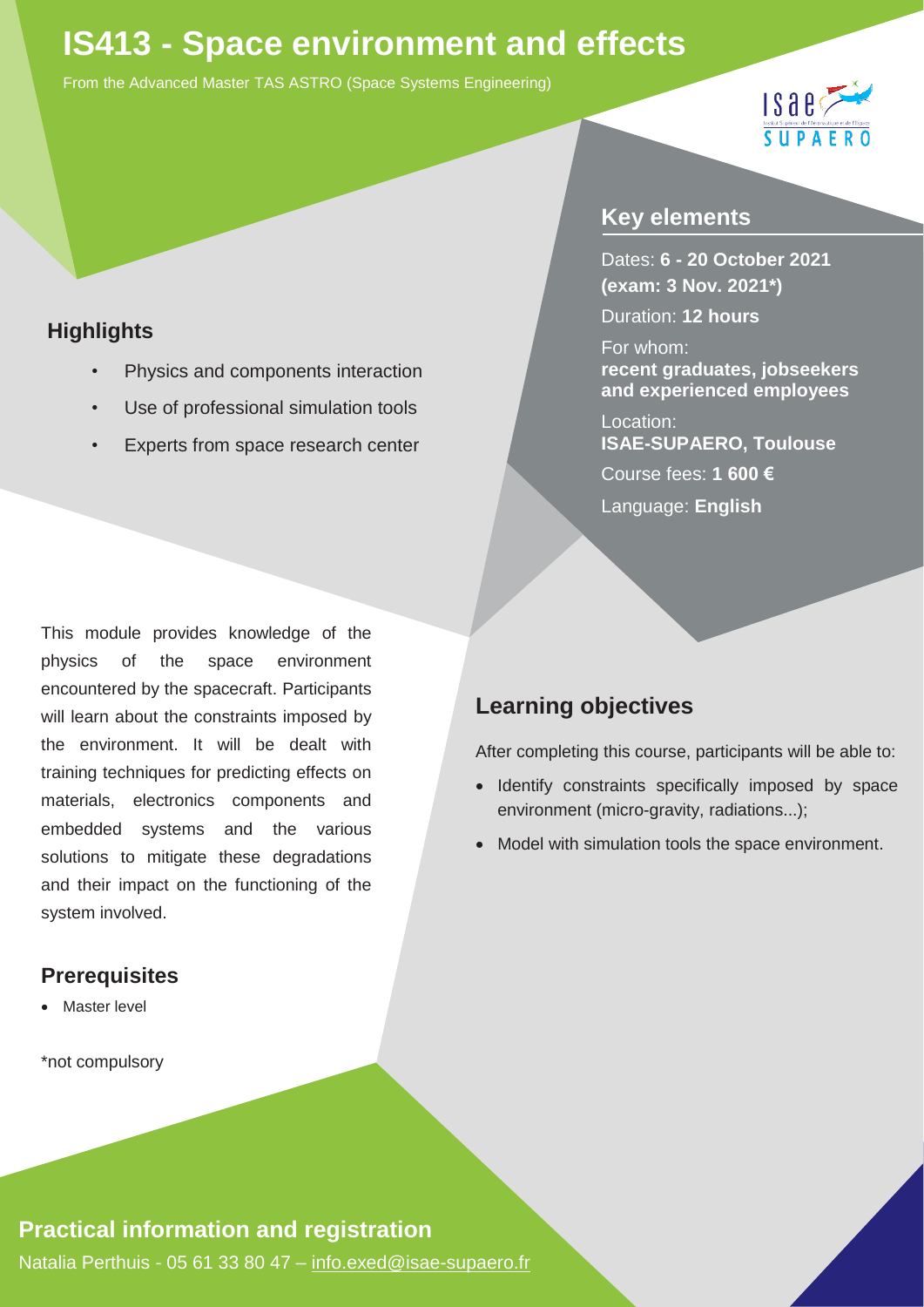# **IS413 - Space environment and effects**

From the Advanced Master TAS ASTRO (Space Systems Engineering)



#### **Highlights**

- *•* Physics and components interaction
- *•* Use of professional simulation tools
- *•* Experts from space research center

This module provides knowledge of the physics of the space environment encountered by the spacecraft. Participants will learn about the constraints imposed by the environment. It will be dealt with training techniques for predicting effects on materials, electronics components and embedded systems and the various solutions to mitigate these degradations and their impact on the functioning of the system involved.

#### **Prerequisites**

Master level

\*not compulsory

### **Key elements**

Dates: **6 - 20 October 2021 (exam: 3 Nov. 2021\*)**

Duration: **12 hours**

For whom: **recent graduates, jobseekers and experienced employees**

Location: **ISAE-SUPAERO, Toulouse**  Course fees: **1 600 €**  Language: **English**

## **Learning objectives**

After completing this course, participants will be able to:

- Identify constraints specifically imposed by space environment (micro-gravity, radiations...);
- Model with simulation tools the space environment.

#### **Practical information and registration**

Natalia Perthuis - 05 61 33 80 47 - [info.exed@isae-supaero.fr](mailto:info.exed@isae-supaero.fr)